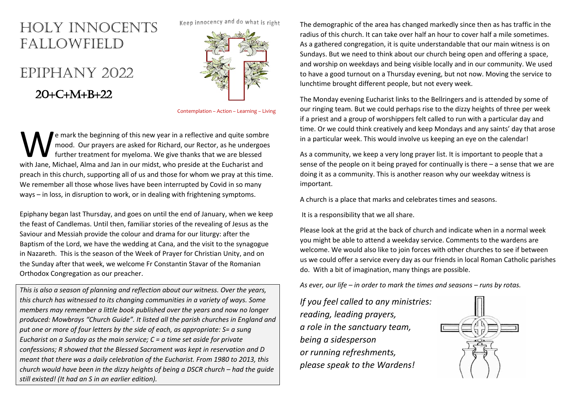## HOLY INNOCENTS FALLOWFIELD

## EPIPHANY 2022

## $20+C+M+B+22$



Contemplation – Action – Learning – Living

e mark the beginning of this new year in a reflective and quite sombre mood. Our prayers are asked for Richard, our Rector, as he undergoes further treatment for myeloma. We give thanks that we are blessed We mark the beginning of this new year in a reflective and quite sombremood. Our prayers are asked for Richard, our Rector, as he undergot further treatment for myeloma. We give thanks that we are blessed with Jane, Michae preach in this church, supporting all of us and those for whom we pray at this time. We remember all those whose lives have been interrupted by Covid in so many ways – in loss, in disruption to work, or in dealing with frightening symptoms.

Epiphany began last Thursday, and goes on until the end of January, when we keep the feast of Candlemas. Until then, familiar stories of the revealing of Jesus as the Saviour and Messiah provide the colour and drama for our liturgy: after the Baptism of the Lord, we have the wedding at Cana, and the visit to the synagogue in Nazareth. This is the season of the Week of Prayer for Christian Unity, and on the Sunday after that week, we welcome Fr Constantin Stavar of the Romanian Orthodox Congregation as our preacher.

*This is also a season of planning and reflection about our witness. Over the years, this church has witnessed to its changing communities in a variety of ways. Some members may remember a little book published over the years and now no longer produced: Mowbrays "Church Guide". It listed all the parish churches in England and put one or more of four letters by the side of each, as appropriate: S= a sung Eucharist on a Sunday as the main service; C = a time set aside for private confessions; R showed that the Blessed Sacrament was kept in reservation and D meant that there was a daily celebration of the Eucharist. From 1980 to 2013, this church would have been in the dizzy heights of being a DSCR church – had the guide still existed! (It had an S in an earlier edition).* 

The demographic of the area has changed markedly since then as has traffic in the radius of this church. It can take over half an hour to cover half a mile sometimes. As a gathered congregation, it is quite understandable that our main witness is on Sundays. But we need to think about our church being open and offering a space, and worship on weekdays and being visible locally and in our community. We used to have a good turnout on a Thursday evening, but not now. Moving the service to lunchtime brought different people, but not every week.

The Monday evening Eucharist links to the Bellringers and is attended by some of our ringing team. But we could perhaps rise to the dizzy heights of three per week if a priest and a group of worshippers felt called to run with a particular day and time. Or we could think creatively and keep Mondays and any saints' day that arose in a particular week. This would involve us keeping an eye on the calendar!

As a community, we keep a very long prayer list. It is important to people that a sense of the people on it being prayed for continually is there – a sense that we are doing it as a community. This is another reason why our weekday witness is important.

A church is a place that marks and celebrates times and seasons.

It is a responsibility that we all share.

Please look at the grid at the back of church and indicate when in a normal week you might be able to attend a weekday service. Comments to the wardens are welcome. We would also like to join forces with other churches to see if between us we could offer a service every day as our friends in local Roman Catholic parishes do. With a bit of imagination, many things are possible.

*As ever, our life – in order to mark the times and seasons – runs by rotas.* 

*If you feel called to any ministries: reading, leading prayers, a role in the sanctuary team, being a sidesperson or running refreshments, please speak to the Wardens!*